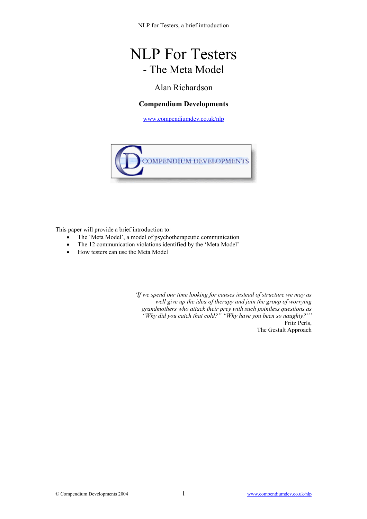# NLP For Testers - The Meta Model

### Alan Richardson

#### **Compendium Developments**

[www.compendiumdev.co.uk/nlp](http://www.compendiumdev.co.uk/nlp)



This paper will provide a brief introduction to:

- The 'Meta Model', a model of psychotherapeutic communication
- The 12 communication violations identified by the 'Meta Model'
- How testers can use the Meta Model

*'If we spend our time looking for causes instead of structure we may as well give up the idea of therapy and join the group of worrying grandmothers who attack their prey with such pointless questions as "Why did you catch that cold?" "Why have you been so naughty?"'*  Fritz Perls, The Gestalt Approach

© Compendium Developments 2004 1 www.compendiumdev.co.uk/nlp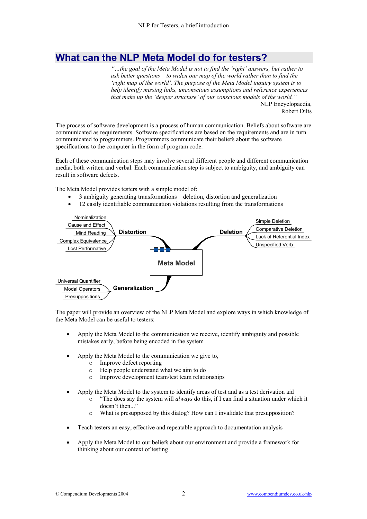## **What can the NLP Meta Model do for testers?**

*"…the goal of the Meta Model is not to find the 'right' answers, but rather to ask better questions – to widen our map of the world rather than to find the 'right map of the world'. The purpose of the Meta Model inquiry system is to help identify missing links, unconscious assumptions and reference experiences that make up the 'deeper structure' of our conscious models of the world."*  NLP Encyclopaedia,

Robert Dilts

The process of software development is a process of human communication. Beliefs about software are communicated as requirements. Software specifications are based on the requirements and are in turn communicated to programmers. Programmers communicate their beliefs about the software specifications to the computer in the form of program code.

Each of these communication steps may involve several different people and different communication media, both written and verbal. Each communication step is subject to ambiguity, and ambiguity can result in software defects.

The Meta Model provides testers with a simple model of:

- 3 ambiguity generating transformations deletion, distortion and generalization
- 12 easily identifiable communication violations resulting from the transformations



The paper will provide an overview of the NLP Meta Model and explore ways in which knowledge of the Meta Model can be useful to testers:

- Apply the Meta Model to the communication we receive, identify ambiguity and possible mistakes early, before being encoded in the system
- Apply the Meta Model to the communication we give to,
	- o Improve defect reporting
	- o Help people understand what we aim to do
	- o Improve development team/test team relationships
- Apply the Meta Model to the system to identify areas of test and as a test derivation aid
	- o "The docs say the system will *always* do this, if I can find a situation under which it doesn't then..."
	- o What is presupposed by this dialog? How can I invalidate that presupposition?
- Teach testers an easy, effective and repeatable approach to documentation analysis
- Apply the Meta Model to our beliefs about our environment and provide a framework for thinking about our context of testing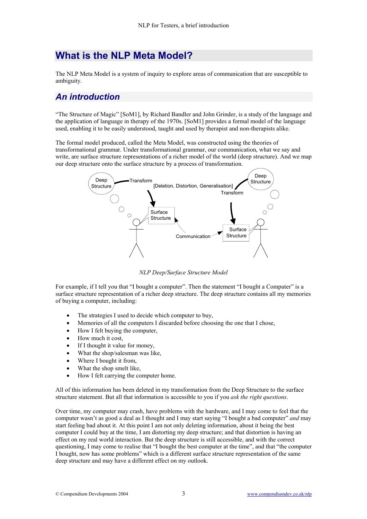## **What is the NLP Meta Model?**

The NLP Meta Model is a system of inquiry to explore areas of communication that are susceptible to ambiguity.

## *An introduction*

"The Structure of Magic" [SoM1], by Richard Bandler and John Grinder, is a study of the language and the application of language in therapy of the 1970s. [SoM1] provides a formal model of the language used, enabling it to be easily understood, taught and used by therapist and non-therapists alike.

The formal model produced, called the Meta Model, was constructed using the theories of transformational grammar. Under transformational grammar, our communication, what we say and write, are surface structure representations of a richer model of the world (deep structure). And we map our deep structure onto the surface structure by a process of transformation.



*NLP Deep/Surface Structure Model* 

For example, if I tell you that "I bought a computer". Then the statement "I bought a Computer" is a surface structure representation of a richer deep structure. The deep structure contains all my memories of buying a computer, including:

- The strategies I used to decide which computer to buy,
- Memories of all the computers I discarded before choosing the one that I chose,
- How I felt buying the computer,
- How much it cost,
- If I thought it value for money,
- What the shop/salesman was like,
- Where I bought it from,
- What the shop smelt like,
- How I felt carrying the computer home.

All of this information has been deleted in my transformation from the Deep Structure to the surface structure statement. But all that information is accessible to you if you *ask the right questions*.

Over time, my computer may crash, have problems with the hardware, and I may come to feel that the computer wasn't as good a deal as I thought and I may start saying "I bought a bad computer" *and* may start feeling bad about it. At this point I am not only deleting information, about it being the best computer I could buy at the time, I am distorting my deep structure; and that distortion is having an effect on my real world interaction. But the deep structure is still accessible, and with the correct questioning, I may come to realise that "I bought the best computer at the time", and that "the computer I bought, now has some problems" which is a different surface structure representation of the same deep structure and may have a different effect on my outlook.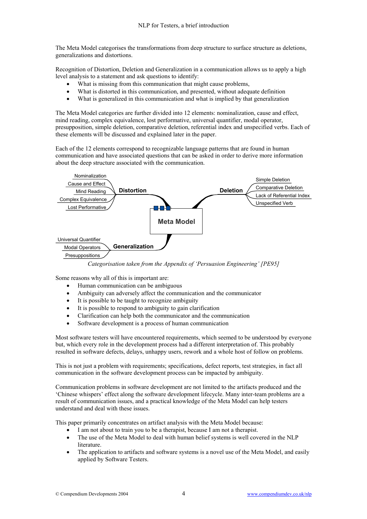The Meta Model categorises the transformations from deep structure to surface structure as deletions, generalizations and distortions.

Recognition of Distortion, Deletion and Generalization in a communication allows us to apply a high level analysis to a statement and ask questions to identify:

- What is missing from this communication that might cause problems,
- What is distorted in this communication, and presented, without adequate definition
- What is generalized in this communication and what is implied by that generalization

The Meta Model categories are further divided into 12 elements: nominalization, cause and effect, mind reading, complex equivalence, lost performative, universal quantifier, modal operator, presupposition, simple deletion, comparative deletion, referential index and unspecified verbs. Each of these elements will be discussed and explained later in the paper.

Each of the 12 elements correspond to recognizable language patterns that are found in human communication and have associated questions that can be asked in order to derive more information about the deep structure associated with the communication.



*Categorisation taken from the Appendix of 'Persuasion Engineering' [PE95]*

Some reasons why all of this is important are:

- Human communication can be ambiguous
- Ambiguity can adversely affect the communication and the communicator
- It is possible to be taught to recognize ambiguity
- It is possible to respond to ambiguity to gain clarification
- Clarification can help both the communicator and the communication
- Software development is a process of human communication

Most software testers will have encountered requirements, which seemed to be understood by everyone but, which every role in the development process had a different interpretation of. This probably resulted in software defects, delays, unhappy users, rework and a whole host of follow on problems.

This is not just a problem with requirements; specifications, defect reports, test strategies, in fact all communication in the software development process can be impacted by ambiguity.

Communication problems in software development are not limited to the artifacts produced and the 'Chinese whispers' effect along the software development lifecycle. Many inter-team problems are a result of communication issues, and a practical knowledge of the Meta Model can help testers understand and deal with these issues.

This paper primarily concentrates on artifact analysis with the Meta Model because:

- I am not about to train you to be a therapist, because I am not a therapist.
- The use of the Meta Model to deal with human belief systems is well covered in the NLP literature.
- The application to artifacts and software systems is a novel use of the Meta Model, and easily applied by Software Testers.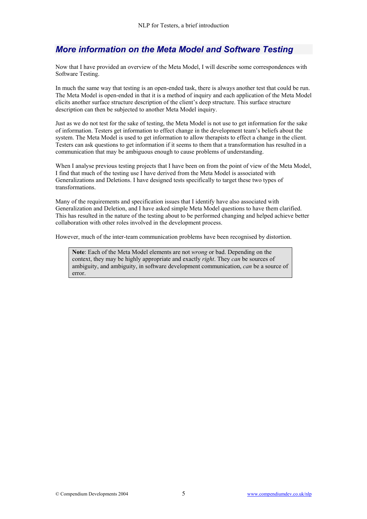## *More information on the Meta Model and Software Testing*

Now that I have provided an overview of the Meta Model, I will describe some correspondences with Software Testing.

In much the same way that testing is an open-ended task, there is always another test that could be run. The Meta Model is open-ended in that it is a method of inquiry and each application of the Meta Model elicits another surface structure description of the client's deep structure. This surface structure description can then be subjected to another Meta Model inquiry.

Just as we do not test for the sake of testing, the Meta Model is not use to get information for the sake of information. Testers get information to effect change in the development team's beliefs about the system. The Meta Model is used to get information to allow therapists to effect a change in the client. Testers can ask questions to get information if it seems to them that a transformation has resulted in a communication that may be ambiguous enough to cause problems of understanding.

When I analyse previous testing projects that I have been on from the point of view of the Meta Model. I find that much of the testing use I have derived from the Meta Model is associated with Generalizations and Deletions. I have designed tests specifically to target these two types of transformations.

Many of the requirements and specification issues that I identify have also associated with Generalization and Deletion, and I have asked simple Meta Model questions to have them clarified. This has resulted in the nature of the testing about to be performed changing and helped achieve better collaboration with other roles involved in the development process.

However, much of the inter-team communication problems have been recognised by distortion.

**Note**: Each of the Meta Model elements are not *wrong* or bad. Depending on the context, they may be highly appropriate and exactly *right*. They *can* be sources of ambiguity, and ambiguity, in software development communication, *can* be a source of error.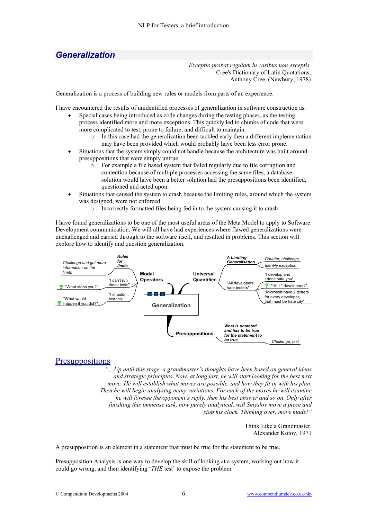### *Generalization*

*Exceptio probat regulam in casibus non exceptis*  Cree's Dictionary of Latin Quotations, Anthony Cree, (Newbury, 1978)

Generalization is a process of building new rules or models from parts of an experience.

I have encountered the results of unidentified processes of generalization in software construction as:

- Special cases being introduced as code changes during the testing phases, as the testing process identified more and more exceptions. This quickly led to chunks of code that were more complicated to test, prone to failure, and difficult to maintain.
	- In this case had the generalization been tackled early then a different implementation may have been provided which would probably have been less error prone.
- Situations that the system simply could not handle because the architecture was built around presuppositions that were simply untrue.
	- o For example a file based system that failed regularly due to file corruption and contention because of multiple processes accessing the same files, a database solution would have been a better solution had the presuppositions been identified, questioned and acted upon.
- Situations that caused the system to crash because the limiting rules, around which the system was designed, were not enforced.
	- o Incorrectly formatted files being fed in to the system causing it to crash

I have found generalizations to be one of the most useful areas of the Meta Model to apply to Software Development communication. We will all have had experiences where flawed generalizations were unchallenged and carried through to the software itself, and resulted in problems. This section will explore how to identify and question generalization.



#### **Presuppositions**

*"…Up until this stage, a grandmaster's thoughts have been based on general ideas and strategic principles. Now, at long last, he will start looking for the best next*  move. He will establish what moves are possible, and how they fit in with his plan. *Then he will begin analysing many variations. For each of the moves he will examine he will foresee the opponent's reply, then his best answer and so on. Only after finishing this immense task, now purely analytical, will Smyslov move a piece and stop his clock. Thinking over, move made!"* 

> Think Like a Grandmaster, Alexander Kotov, 1971

A presupposition is an element in a statement that must be true for the statement to be true.

Presupposition Analysis is one way to develop the skill of looking at a system, working out how it could go wrong, and then identifying '*THE* test' to expose the problem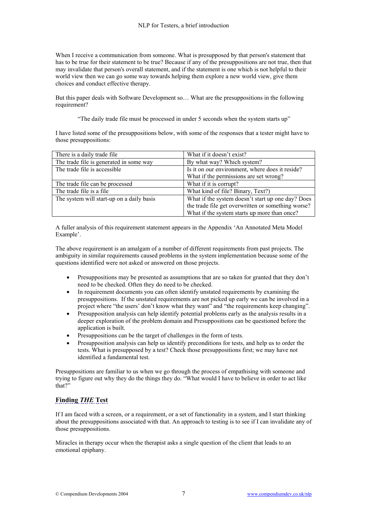When I receive a communication from someone. What is presupposed by that person's statement that has to be true for their statement to be true? Because if any of the presuppositions are not true, then that may invalidate that person's overall statement, and if the statement is one which is not helpful to their world view then we can go some way towards helping them explore a new world view, give them choices and conduct effective therapy.

But this paper deals with Software Development so… What are the presuppositions in the following requirement?

"The daily trade file must be processed in under 5 seconds when the system starts up"

I have listed some of the presuppositions below, with some of the responses that a tester might have to those presuppositions:

| There is a daily trade file               | What if it doesn't exist?                          |
|-------------------------------------------|----------------------------------------------------|
| The trade file is generated in some way   | By what way? Which system?                         |
| The trade file is accessible              | Is it on our environment, where does it reside?    |
|                                           | What if the permissions are set wrong?             |
| The trade file can be processed           | What if it is corrupt?                             |
| The trade file is a file.                 | What kind of file? Binary, Text?)                  |
| The system will start-up on a daily basis | What if the system doesn't start up one day? Does  |
|                                           | the trade file get overwritten or something worse? |
|                                           | What if the system starts up more than once?       |

A fuller analysis of this requirement statement appears in the Appendix 'An Annotated Meta Model Example'.

The above requirement is an amalgam of a number of different requirements from past projects. The ambiguity in similar requirements caused problems in the system implementation because some of the questions identified were not asked or answered on those projects.

- Presuppositions may be presented as assumptions that are so taken for granted that they don't need to be checked. Often they do need to be checked.
- In requirement documents you can often identify unstated requirements by examining the presuppositions. If the unstated requirements are not picked up early we can be involved in a project where "the users' don't know what they want" and "the requirements keep changing".
- Presupposition analysis can help identify potential problems early as the analysis results in a deeper exploration of the problem domain and Presuppositions can be questioned before the application is built.
- Presuppositions can be the target of challenges in the form of tests.
- Presupposition analysis can help us identify preconditions for tests, and help us to order the tests. What is presupposed by a test? Check those presuppositions first; we may have not identified a fundamental test.

Presuppositions are familiar to us when we go through the process of empathising with someone and trying to figure out why they do the things they do. "What would I have to believe in order to act like that?"

#### **Finding** *THE* **Test**

If I am faced with a screen, or a requirement, or a set of functionality in a system, and I start thinking about the presuppositions associated with that. An approach to testing is to see if I can invalidate any of those presuppositions.

Miracles in therapy occur when the therapist asks a single question of the client that leads to an emotional epiphany.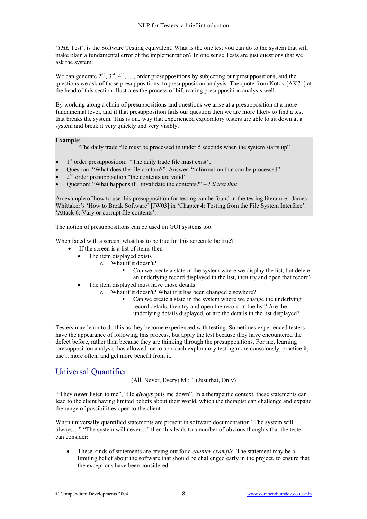'*THE* Test', is the Software Testing equivalent. What is the one test you can do to the system that will make plain a fundamental error of the implementation? In one sense Tests are just questions that we ask the system.

We can generate  $2^{nd}$ ,  $3^{rd}$ ,  $4^{th}$ , ..., order presuppositions by subjecting our presuppositions, and the questions we ask of those presuppositions, to presupposition analysis. The quote from Kotov [AK71] at the head of this section illustrates the process of bifurcating presupposition analysis well.

By working along a chain of presuppositions and questions we arise at a presupposition at a more fundamental level, and if that presupposition fails our question then we are more likely to find a test that breaks the system. This is one way that experienced exploratory testers are able to sit down at a system and break it very quickly and very visibly.

#### **Example:**

"The daily trade file must be processed in under 5 seconds when the system starts up"

- $1<sup>st</sup>$  order presupposition: "The daily trade file must exist",
- Question: "What does the file contain?" Answer: "information that can be processed"
- 2<sup>nd</sup> order presupposition "the contents are valid"
- Question: "What happens if I invalidate the contents?" *I'll test that*

An example of how to use this presupposition for testing can be found in the testing literature: James Whittaker's 'How to Break Software' [JW03] in 'Chapter 4: Testing from the File System Interface'. 'Attack 6: Vary or corrupt file contents'.

The notion of presuppositions can be used on GUI systems too.

When faced with a screen, what has to be true for this screen to be true?

- If the screen is a list of items then
- The item displayed exists
	- o What if it doesn't?
		- Can we create a state in the system where we display the list, but delete an underlying record displayed in the list, then try and open that record?
- The item displayed must have those details
	- o What if it doesn't? What if it has been changed elsewhere?
		- Can we create a state in the system where we change the underlying record details, then try and open the record in the list? Are the underlying details displayed, or are the details in the list displayed?

Testers may learn to do this as they become experienced with testing. Sometimes experienced testers have the appearance of following this process, but apply the test because they have encountered the defect before, rather than because they are thinking through the presuppositions. For me, learning 'presupposition analysis' has allowed me to approach exploratory testing more consciously, practice it, use it more often, and get more benefit from it.

#### Universal Quantifier

(All, Never, Every) M : 1 (Just that, Only)

 "They *never* listen to me", "He *always* puts me down". In a therapeutic context, these statements can lead to the client having limited beliefs about their world, which the therapist can challenge and expand the range of possibilities open to the client.

When universally quantified statements are present in software documentation "The system will always…" "The system will never…" then this leads to a number of obvious thoughts that the tester can consider:

• These kinds of statements are crying out for a *counter example*. The statement may be a limiting belief about the software that should be challenged early in the project, to ensure that the exceptions have been considered.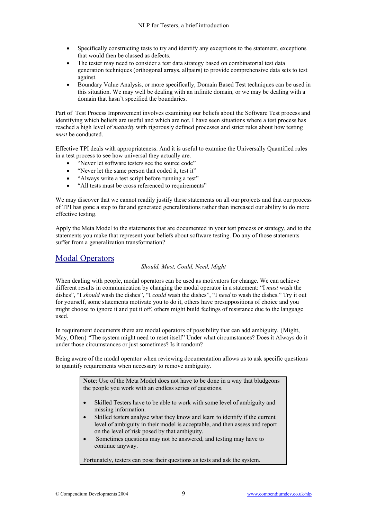- Specifically constructing tests to try and identify any exceptions to the statement, exceptions that would then be classed as defects.
- The tester may need to consider a test data strategy based on combinatorial test data generation techniques (orthogonal arrays, allpairs) to provide comprehensive data sets to test against.
- Boundary Value Analysis, or more specifically, Domain Based Test techniques can be used in this situation. We may well be dealing with an infinite domain, or we may be dealing with a domain that hasn't specified the boundaries.

Part of Test Process Improvement involves examining our beliefs about the Software Test process and identifying which beliefs are useful and which are not. I have seen situations where a test process has reached a high level of *maturity* with rigorously defined processes and strict rules about how testing *must* be conducted.

Effective TPI deals with appropriateness. And it is useful to examine the Universally Quantified rules in a test process to see how universal they actually are.

- "Never let software testers see the source code"
- "Never let the same person that coded it, test it"
- "Always write a test script before running a test"
- "All tests must be cross referenced to requirements"

We may discover that we cannot readily justify these statements on all our projects and that our process of TPI has gone a step to far and generated generalizations rather than increased our ability to do more effective testing.

Apply the Meta Model to the statements that are documented in your test process or strategy, and to the statements you make that represent your beliefs about software testing. Do any of those statements suffer from a generalization transformation?

#### Modal Operators

#### *Should, Must, Could, Need, Might*

When dealing with people, modal operators can be used as motivators for change. We can achieve different results in communication by changing the modal operator in a statement: "I *must* wash the dishes", "I *should* wash the dishes", "I *could* wash the dishes", "I *need* to wash the dishes." Try it out for yourself, some statements motivate you to do it, others have presuppositions of choice and you might choose to ignore it and put it off, others might build feelings of resistance due to the language used.

In requirement documents there are modal operators of possibility that can add ambiguity. {Might, May, Often} "The system might need to reset itself" Under what circumstances? Does it Always do it under those circumstances or just sometimes? Is it random?

Being aware of the modal operator when reviewing documentation allows us to ask specific questions to quantify requirements when necessary to remove ambiguity.

> **Note**: Use of the Meta Model does not have to be done in a way that bludgeons the people you work with an endless series of questions.

- Skilled Testers have to be able to work with some level of ambiguity and missing information.
- Skilled testers analyse what they know and learn to identify if the current level of ambiguity in their model is acceptable, and then assess and report on the level of risk posed by that ambiguity.
- Sometimes questions may not be answered, and testing may have to continue anyway.

Fortunately, testers can pose their questions as tests and ask the system.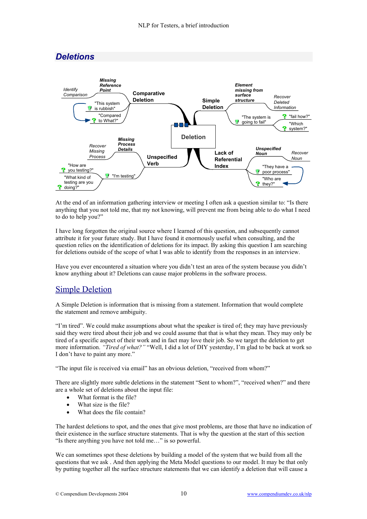

At the end of an information gathering interview or meeting I often ask a question similar to: "Is there anything that you not told me, that my not knowing, will prevent me from being able to do what I need to do to help you?"

I have long forgotten the original source where I learned of this question, and subsequently cannot attribute it for your future study. But I have found it enormously useful when consulting, and the question relies on the identification of deletions for its impact. By asking this question I am searching for deletions outside of the scope of what I was able to identify from the responses in an interview.

Have you ever encountered a situation where you didn't test an area of the system because you didn't know anything about it? Deletions can cause major problems in the software process.

### Simple Deletion

A Simple Deletion is information that is missing from a statement. Information that would complete the statement and remove ambiguity.

"I'm tired". We could make assumptions about what the speaker is tired of; they may have previously said they were tired about their job and we could assume that that is what they mean. They may only be tired of a specific aspect of their work and in fact may love their job. So we target the deletion to get more information. *"Tired of what?"* "Well, I did a lot of DIY yesterday, I'm glad to be back at work so I don't have to paint any more."

"The input file is received via email" has an obvious deletion, "received from whom?"

There are slightly more subtle deletions in the statement "Sent to whom?", "received when?" and there are a whole set of deletions about the input file:

- What format is the file?
- What size is the file?
- What does the file contain?

The hardest deletions to spot, and the ones that give most problems, are those that have no indication of their existence in the surface structure statements. That is why the question at the start of this section "Is there anything you have not told me…" is so powerful.

We can sometimes spot these deletions by building a model of the system that we build from all the questions that we ask . And then applying the Meta Model questions to our model. It may be that only by putting together all the surface structure statements that we can identify a deletion that will cause a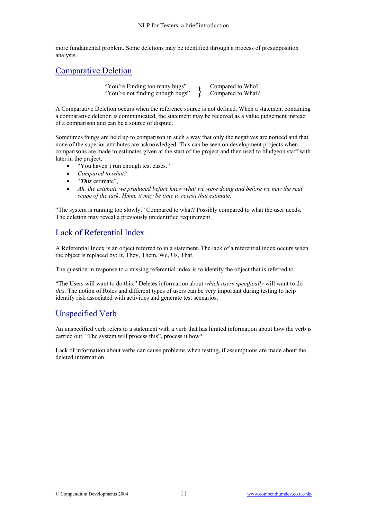more fundamental problem. Some deletions may be identified through a process of presupposition analysis.

#### Comparative Deletion

"You're Finding too many bugs" "You're Finding too many bugs" <br>"You're not finding enough bugs" <br>Compared to What? Compared to What?

A Comparative Deletion occurs when the reference source is not defined. When a statement containing a comparative deletion is communicated, the statement may be received as a value judgement instead of a comparison and can be a source of dispute.

Sometimes things are held up to comparison in such a way that only the negatives are noticed and that none of the superior attributes are acknowledged. This can be seen on development projects when comparisons are made to estimates given at the start of the project and then used to bludgeon staff with later in the project.

- "You haven't run enough test cases."
- *Compared to what?*
- "*This* estimate",
- *Ah, the estimate we produced before knew what we were doing and before we new the real scope of the task. Hmm, it may be time to revisit that estimate*.

"The system is running too slowly." Compared to what? Possibly compared to what the user needs. The deletion may reveal a previously unidentified requirement.

### Lack of Referential Index

A Referential Index is an object referred to in a statement. The lack of a referential index occurs when the object is replaced by: It, They, Them, We, Us, That.

The question in response to a missing referential index is to identify the object that is referred to.

"The Users will want to do this." Deletes information about *which users specifically* will want to do *this*. The notion of Roles and different types of users can be very important during testing to help identify risk associated with activities and generate test scenarios.

### Unspecified Verb

An unspecified verb refers to a statement with a verb that has limited information about how the verb is carried out. "The system will process this", process it how?

Lack of information about verbs can cause problems when testing, if assumptions are made about the deleted information.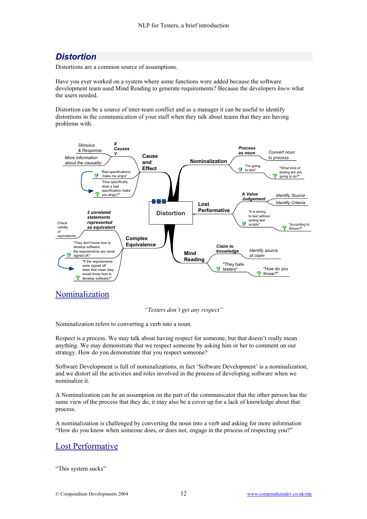## *Distortion*

Distortions are a common source of assumptions.

Have you ever worked on a system where some functions were added because the software development team used Mind Reading to generate requirements? Because the developers *knew* what the users needed.

Distortion can be a source of inter-team conflict and as a manager it can be useful to identify distortions in the communication of your staff when they talk about teams that they are having problems with.



#### *"Testers don't get any respect"*

Nominalization refers to converting a verb into a noun.

Respect is a process. We may talk about having respect for someone, but that doesn't really mean anything. We may demonstrate that we respect someone by asking him or her to comment on our strategy. How do you demonstrate that you respect someone?

Software Development is full of nominalizations, in fact 'Software Development' is a nominalization, and we distort all the activities and roles involved in the process of developing software when we nominalize it.

A Nominalization can be an assumption on the part of the communicator that the other person has the same view of the process that they do, it may also be a cover up for a lack of knowledge about that process.

A nominalization is challenged by converting the noun into a verb and asking for more information "How do you know when someone does, or does not, engage in the process of respecting you?"

### Lost Performative

"This system sucks"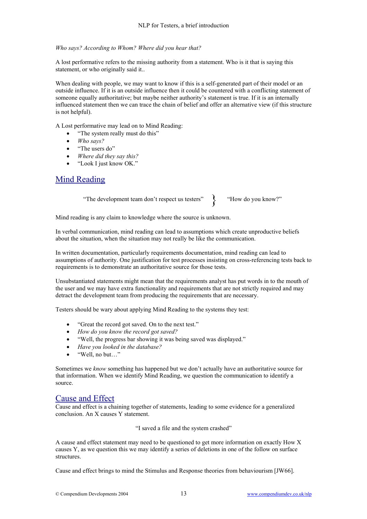#### *Who says? According to Whom? Where did you hear that?*

A lost performative refers to the missing authority from a statement. Who is it that is saying this statement, or who originally said it..

When dealing with people, we may want to know if this is a self-generated part of their model or an outside influence. If it is an outside influence then it could be countered with a conflicting statement of someone equally authoritative; but maybe neither authority's statement is true. If it is an internally influenced statement then we can trace the chain of belief and offer an alternative view (if this structure is not helpful).

A Lost performative may lead on to Mind Reading:

- "The system really must do this"
- *Who says?*
- "The users do"
- *Where did they say this?*
- "Look I just know OK."

#### Mind Reading

"The development team don't respect us testers" > "How do you know?"

Mind reading is any claim to knowledge where the source is unknown.

In verbal communication, mind reading can lead to assumptions which create unproductive beliefs about the situation, when the situation may not really be like the communication.

In written documentation, particularly requirements documentation, mind reading can lead to assumptions of authority. One justification for test processes insisting on cross-referencing tests back to requirements is to demonstrate an authoritative source for those tests.

Unsubstantiated statements might mean that the requirements analyst has put words in to the mouth of the user and we may have extra functionality and requirements that are not strictly required and may detract the development team from producing the requirements that are necessary.

Testers should be wary about applying Mind Reading to the systems they test:

- "Great the record got saved. On to the next test."
- *How do you know the record got saved?*
- "Well, the progress bar showing it was being saved was displayed."
- *Have you looked in the database?*
- "Well, no but…"

Sometimes we *know* something has happened but we don't actually have an authoritative source for that information. When we identify Mind Reading, we question the communication to identify a source.

#### Cause and Effect

Cause and effect is a chaining together of statements, leading to some evidence for a generalized conclusion. An X causes Y statement.

"I saved a file and the system crashed"

A cause and effect statement may need to be questioned to get more information on exactly How X causes Y, as we question this we may identify a series of deletions in one of the follow on surface structures.

Cause and effect brings to mind the Stimulus and Response theories from behaviourism [JW66].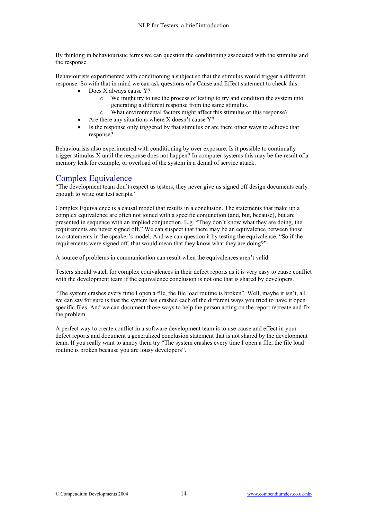By thinking in behaviouristic terms we can question the conditioning associated with the stimulus and the response.

Behaviourists experimented with conditioning a subject so that the stimulus would trigger a different response. So with that in mind we can ask questions of a Cause and Effect statement to check this:

- Does X always cause Y?
	- o We might try to use the process of testing to try and condition the system into generating a different response from the same stimulus.
	- o What environmental factors might affect this stimulus or this response?
- Are there any situations where  $X$  doesn't cause  $Y$ ?
- Is the response only triggered by that stimulus or are there other ways to achieve that response?

Behaviourists also experimented with conditioning by over exposure. Is it possible to continually trigger stimulus X until the response does not happen? In computer systems this may be the result of a memory leak for example, or overload of the system in a denial of service attack.

#### Complex Equivalence

"The development team don't respect us testers, they never give us signed off design documents early enough to write our test scripts."

Complex Equivalence is a causal model that results in a conclusion. The statements that make up a complex equivalence are often not joined with a specific conjunction (and, but, because), but are presented in sequence with an implied conjunction. E.g. "They don't know what they are doing, the requirements are never signed off." We can suspect that there may be an equivalence between those two statements in the speaker's model. And we can question it by testing the equivalence. "So if the requirements were signed off, that would mean that they know what they are doing?"

A source of problems in communication can result when the equivalences aren't valid.

Testers should watch for complex equivalences in their defect reports as it is very easy to cause conflict with the development team if the equivalence conclusion is not one that is shared by developers.

"The system crashes every time I open a file, the file load routine is broken". Well, maybe it isn't, all we can say for sure is that the system has crashed each of the different ways you tried to have it open specific files. And we can document those ways to help the person acting on the report recreate and fix the problem.

A perfect way to create conflict in a software development team is to use cause and effect in your defect reports and document a generalized conclusion statement that is not shared by the development team. If you really want to annoy them try "The system crashes every time I open a file, the file load routine is broken because you are lousy developers".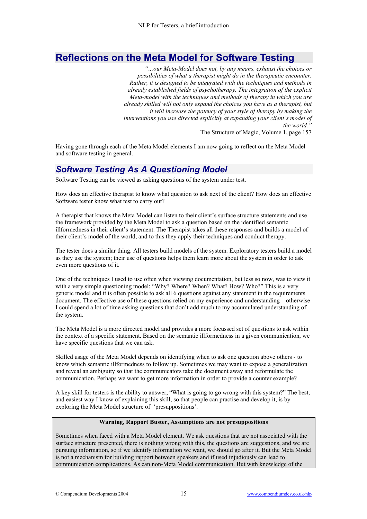## **Reflections on the Meta Model for Software Testing**

*"…our Meta-Model does not, by any means, exhaust the choices or possibilities of what a therapist might do in the therapeutic encounter. Rather, it is designed to be integrated with the techniques and methods in already established fields of psychotherapy. The integration of the explicit Meta-model with the techniques and methods of therapy in which you are already skilled will not only expand the choices you have as a therapist, but it will increase the potency of your style of therapy by making the interventions you use directed explicitly at expanding your client's model of the world."*  The Structure of Magic, Volume 1, page 157

Having gone through each of the Meta Model elements I am now going to reflect on the Meta Model and software testing in general.

### *Software Testing As A Questioning Model*

Software Testing can be viewed as asking questions of the system under test.

How does an effective therapist to know what question to ask next of the client? How does an effective Software tester know what test to carry out?

A therapist that knows the Meta Model can listen to their client's surface structure statements and use the framework provided by the Meta Model to ask a question based on the identified semantic illformedness in their client's statement. The Therapist takes all these responses and builds a model of their client's model of the world, and to this they apply their techniques and conduct therapy.

The tester does a similar thing. All testers build models of the system. Exploratory testers build a model as they use the system; their use of questions helps them learn more about the system in order to ask even more questions of it.

One of the techniques I used to use often when viewing documentation, but less so now, was to view it with a very simple questioning model: "Why? Where? When? What? How? Who?" This is a very generic model and it is often possible to ask all 6 questions against any statement in the requirements document. The effective use of these questions relied on my experience and understanding – otherwise I could spend a lot of time asking questions that don't add much to my accumulated understanding of the system.

The Meta Model is a more directed model and provides a more focussed set of questions to ask within the context of a specific statement. Based on the semantic illformedness in a given communication, we have specific questions that we can ask.

Skilled usage of the Meta Model depends on identifying when to ask one question above others - to know which semantic illformedness to follow up. Sometimes we may want to expose a generalization and reveal an ambiguity so that the communicators take the document away and reformulate the communication. Perhaps we want to get more information in order to provide a counter example?

A key skill for testers is the ability to answer, "What is going to go wrong with this system?" The best, and easiest way I know of explaining this skill, so that people can practise and develop it, is by exploring the Meta Model structure of 'presuppositions'.

#### **Warning, Rapport Buster, Assumptions are not presuppositions**

Sometimes when faced with a Meta Model element. We ask questions that are not associated with the surface structure presented, there is nothing wrong with this, the questions are suggestions, and we are pursuing information, so if we identify information we want, we should go after it. But the Meta Model is not a mechanism for building rapport between speakers and if used injudiously can lead to communication complications. As can non-Meta Model communication. But with knowledge of the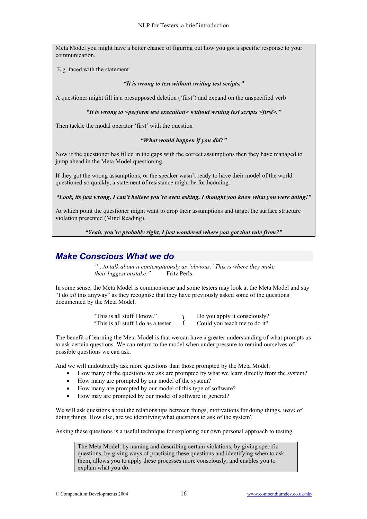Meta Model you might have a better chance of figuring out how you got a specific response to your communication.

E.g. faced with the statement

#### *"It is wrong to test without writing test scripts,"*

A questioner might fill in a presupposed deletion ('first') and expand on the unspecified verb

*"It is wrong to <perform test execution> without writing test scripts <first>."*

Then tackle the modal operator 'first' with the question

#### *"What would happen if you did?"*

Now if the questioner has filled in the gaps with the correct assumptions then they have managed to jump ahead in the Meta Model questioning.

If they got the wrong assumptions, or the speaker wasn't ready to have their model of the world questioned so quickly, a statement of resistance might be forthcoming.

*"Look, its just wrong, I can't believe you're even asking, I thought you knew what you were doing!"*

At which point the questioner might want to drop their assumptions and target the surface structure violation presented (Mind Reading).

#### *"Yeah, you're probably right, I just wondered where you got that rule from?"*

## *Make Conscious What we do*

*"…to talk about it contemptuously as 'obvious.' This is where they make their biggest mistake."* Fritz Perls

In some sense, the Meta Model is commonsense and some testers may look at the Meta Model and say "I do *all* this anyway" as they recognise that they have previously asked some of the questions documented by the Meta Model.

> "This is all stuff I know." "This is all stuff I know."<br>
> "This is all stuff I do as a tester  $\longrightarrow$  Do you apply it consciously?

The benefit of learning the Meta Model is that we can have a greater understanding of what prompts us to ask certain questions. We can return to the model when under pressure to remind ourselves of possible questions we can ask.

And we will undoubtedly ask more questions than those prompted by the Meta Model.

- How many of the questions we ask are prompted by what we learn directly from the system?
- How many are prompted by our model of the system?
- How many are prompted by our model of this type of software?
- How may are prompted by our model of software in general?

We will ask questions about the relationships between things, motivations for doing things, *ways* of doing things. How else, are we identifying what questions to ask of the system?

Asking these questions is a useful technique for exploring our own personal approach to testing.

The Meta Model: by naming and describing certain violations, by giving specific questions, by giving ways of practising these questions and identifying when to ask them, allows you to apply these processes more consciously, and enables you to explain what you do.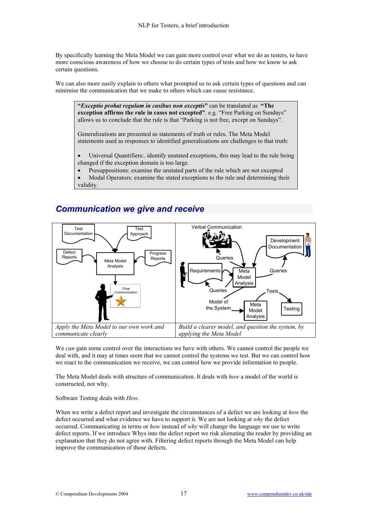By specifically learning the Meta Model we can gain more control over what we do as testers, to have more conscious awareness of how we choose to do certain types of tests and how we know to ask certain questions.

We can also more easily explain to others what prompted us to ask certain types of questions and can minimise the communication that we make to others which can cause resistance.

**"***Exceptio probat regulam in casibus non exceptis***"** can be translated as **"The exception affirms the rule in cases not excepted"**. e.g. "Free Parking on Sundays" allows us to conclude that the rule is that "Parking is not free, except on Sundays".

Generalizations are presented as statements of truth or rules. The Meta Model statements used as responses to identified generalizations are challenges to that truth:

Universal Quantifiers: identify unstated exceptions, this may lead to the rule being changed if the exception domain is too large.

• Presuppositions: examine the unstated parts of the rule which are not excepted

• Modal Operators: examine the stated exceptions to the rule and determining their validity.



### *Communication we give and receive*

We *can* gain some control over the interactions we have with others. We cannot control the people we deal with, and it may at times seem that we cannot control the systems we test. But we can control how we react to the communication we receive, we can control how we provide information to people.

The Meta Model deals with structure of communication. It deals with *how* a model of the world is constructed, not why.

Software Testing deals with *How*.

When we write a defect report and investigate the circumstances of a defect we are looking at *how* the defect occurred and what evidence we have to support it. We are not looking at *why* the defect occurred. Communicating in terms or *how* instead of *why* will change the language we use to write defect reports. If we introduce Whys into the defect report we risk alienating the reader by providing an explanation that they do not agree with. Filtering defect reports through the Meta Model can help improve the communication of those defects.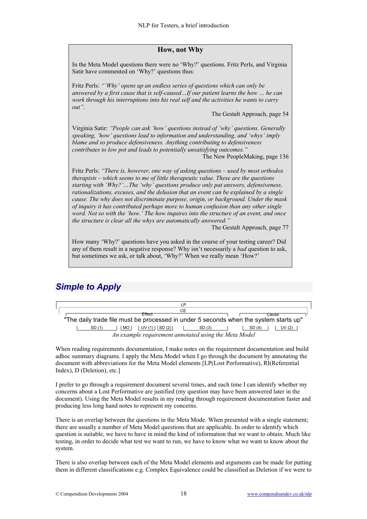#### **How, not Why**

In the Meta Model questions there were no 'Why?' questions. Fritz Perls, and Virginia Satir have commented on 'Why?' questions thus:

Fritz Perls: *"'Why' opens up an endless series of questions which can only be answered by a first cause that is self-caused…If our patient learns the how … he can work through his interruptions into his real self and the activities he wants to carry out"*.

The Gestalt Approach, page 54

Virginia Satir: *"People can ask 'how' questions instead of 'why' questions. Generally speaking, 'how' questions lead to information and understanding, and 'whys' imply blame and so produce defensiveness. Anything contributing to defensiveness contributes to low pot and leads to potentially unsatisfying outcomes."* 

The New PeopleMaking, page 136

Fritz Perls: *"There is, however, one way of asking questions – used by most orthodox therapists – which seems to me of little therapeutic value. These are the questions starting with 'Why?'…The 'why' questions produce only pat answers, defensiveness, rationalizations, excuses, and the delusion that an event can be explained by a single cause. The why does not discriminate purpose, origin, or background. Under the mask of inquiry it has contributed perhaps more to human confusion than any other single word. Not so with the 'how.' The how inquires into the structure of an event, and once the structure is clear all the whys are automatically answered."*

The Gestalt Approach, page 77

How many 'Why?' questions have you asked in the course of your testing career? Did any of them result in a negative response? Why isn't necessarily a *bad* question to ask, but sometimes we ask, or talk about, 'Why?' When we really mean 'How?'

### *Simple to Apply*

| ΙP                                                                                    |  |  |  |  |
|---------------------------------------------------------------------------------------|--|--|--|--|
| CЕ                                                                                    |  |  |  |  |
| <b>Effect</b><br>Cause                                                                |  |  |  |  |
| "The daily trade file must be processed in under 5 seconds when the system starts up" |  |  |  |  |
| $UV(1)$ $ SD(2) $<br>MO I<br>SD (1)<br>SD(4)<br>UV $(2)$<br>SD (3)                    |  |  |  |  |
| An example requirement annotated using the Meta Model                                 |  |  |  |  |

When reading requirements documentation, I make notes on the requirement documentation and build adhoc summary diagrams. I apply the Meta Model when I go through the document by annotating the document with abbreviations for the Meta Model elements [LP(Lost Performative), RI(Referential Index), D (Deletion), etc.]

I prefer to go through a requirement document several times, and each time I can identify whether my concerns about a Lost Performative are justified (my question may have been answered later in the document). Using the Meta Model results in my reading through requirement documentation faster and producing less long hand notes to represent my concerns.

There is an overlap between the questions in the Meta Mode. When presented with a single statement; there are usually a number of Meta Model questions that are applicable. In order to identify which question is suitable, we have to have in mind the kind of information that we want to obtain. Much like testing, in order to decide what test we want to run, we have to know what we want to know about the system.

There is also overlap between each of the Meta Model elements and arguments can be made for putting them in different classifications e.g. Complex Equivalence could be classified as Deletion if we were to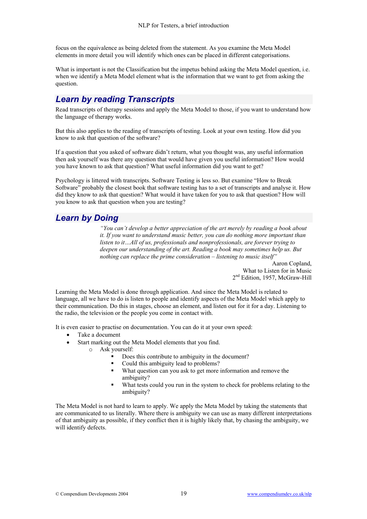focus on the equivalence as being deleted from the statement. As you examine the Meta Model elements in more detail you will identify which ones can be placed in different categorisations.

What is important is not the Classification but the impetus behind asking the Meta Model question, i.e. when we identify a Meta Model element what is the information that we want to get from asking the question.

## *Learn by reading Transcripts*

Read transcripts of therapy sessions and apply the Meta Model to those, if you want to understand how the language of therapy works.

But this also applies to the reading of transcripts of testing. Look at your own testing. How did you know to ask that question of the software?

If a question that you asked of software didn't return, what you thought was, any useful information then ask yourself was there any question that would have given you useful information? How would you have known to ask that question? What useful information did you want to get?

Psychology is littered with transcripts. Software Testing is less so. But examine "How to Break Software" probably the closest book that software testing has to a set of transcripts and analyse it. How did they know to ask that question? What would it have taken for you to ask that question? How will you know to ask that question when you are testing?

### *Learn by Doing*

*"You can't develop a better appreciation of the art merely by reading a book about it. If you want to understand music better, you can do nothing more important than listen to it…All of us, professionals and nonprofessionals, are forever trying to deepen our understanding of the art. Reading a book may sometimes help us. But nothing can replace the prime consideration – listening to music itself"*

> Aaron Copland, What to Listen for in Music 2<sup>nd</sup> Edition, 1957, McGraw-Hill

Learning the Meta Model is done through application. And since the Meta Model is related to language, all we have to do is listen to people and identify aspects of the Meta Model which apply to their communication. Do this in stages, choose an element, and listen out for it for a day. Listening to the radio, the television or the people you come in contact with.

It is even easier to practise on documentation. You can do it at your own speed:

- Take a document
- Start marking out the Meta Model elements that you find.
	- o Ask yourself:
		- Does this contribute to ambiguity in the document?
		- Could this ambiguity lead to problems?
		- What question can you ask to get more information and remove the ambiguity?
		- What tests could you run in the system to check for problems relating to the ambiguity?

The Meta Model is not hard to learn to apply. We apply the Meta Model by taking the statements that are communicated to us literally. Where there is ambiguity we can use as many different interpretations of that ambiguity as possible, if they conflict then it is highly likely that, by chasing the ambiguity, we will identify defects.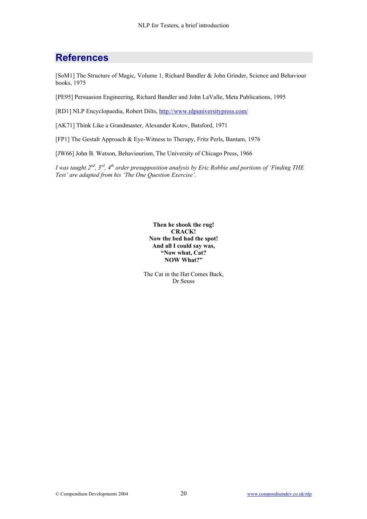## **References**

[SoM1] The Structure of Magic, Volume 1, Richard Bandler & John Grinder, Science and Behaviour books, 1975

[PE95] Persuasion Engineering, Richard Bandler and John LaValle, Meta Publications, 1995

[RD1] NLP Encyclopaedia, Robert Dilts, <http://www.nlpuniversitypress.com/>

[AK71] Think Like a Grandmaster, Alexander Kotov, Batsford, 1971

[FP1] The Gestalt Approach & Eye-Witness to Therapy, Fritz Perls, Bantam, 1976

[JW66] John B. Watson, Behaviourism, The University of Chicago Press, 1966

*I was taught 2nd, 3rd, 4th order presupposition analysis by Eric Robbie and portions of 'Finding THE Test' are adapted from his 'The One Question Exercise'.* 

> **Then he shook the rug! CRACK! Now the bed had the spot! And all I could say was, "Now what, Cat? NOW What?"**

The Cat in the Hat Comes Back, Dr Seuss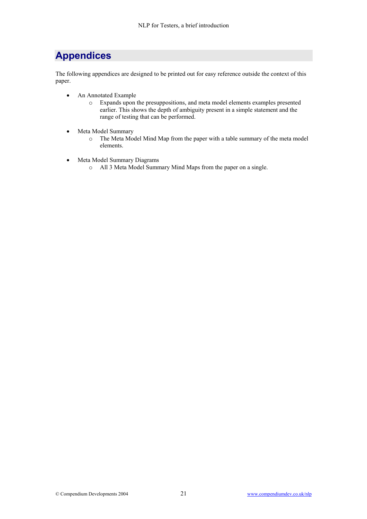## **Appendices**

The following appendices are designed to be printed out for easy reference outside the context of this paper.

- An Annotated Example
	- o Expands upon the presuppositions, and meta model elements examples presented earlier. This shows the depth of ambiguity present in a simple statement and the range of testing that can be performed.
- Meta Model Summary
	- o The Meta Model Mind Map from the paper with a table summary of the meta model elements.
- Meta Model Summary Diagrams
	- o All 3 Meta Model Summary Mind Maps from the paper on a single.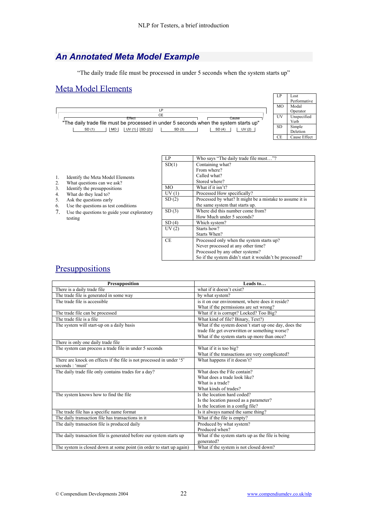## *An Annotated Meta Model Example*

"The daily trade file must be processed in under 5 seconds when the system starts up"

#### Meta Model Elements



|    |                                             | LP        | Who says "The daily trade file must"?                    |
|----|---------------------------------------------|-----------|----------------------------------------------------------|
|    |                                             | SD(1)     | Containing what?                                         |
|    |                                             |           | From where?                                              |
| 1. | Identify the Meta Model Elements            |           | Called what?                                             |
| 2. | What questions can we ask?                  |           | Stored where?                                            |
| 3. | Identify the presuppositions                | MO.       | What if it isn't?                                        |
| 4. | What do they lead to?                       | UV(1)     | Processed How specifically?                              |
| 5. | Ask the questions early                     | SD(2)     | Processed by what? It might be a mistake to assume it is |
| 6. | Use the questions as test conditions        |           | the same system that starts up.                          |
| 7. | Use the questions to guide your exploratory | SD(3)     | Where did this number come from?                         |
|    | testing                                     |           | How Much under 5 seconds?                                |
|    |                                             | SD(4)     | Which system?                                            |
|    |                                             | UV(2)     | Starts how?                                              |
|    |                                             |           | Starts When?                                             |
|    |                                             | <b>CE</b> | Processed only when the system starts up?                |
|    |                                             |           | Never processed at any other time?                       |
|    |                                             |           | Processed by any other systems?                          |
|    |                                             |           | So if the system didn't start it wouldn't be processed?  |

### Presuppositions

| Presupposition                                                       | Leads to                                              |
|----------------------------------------------------------------------|-------------------------------------------------------|
| There is a daily trade file                                          | what if it doesn't exist?                             |
| The trade file is generated in some way                              | by what system?                                       |
| The trade file is accessible                                         | is it on our environment, where does it reside?       |
|                                                                      | What if the permissions are set wrong?                |
| The trade file can be processed                                      | What if it is corrupt? Locked? Too Big?               |
| The trade file is a file                                             | What kind of file? Binary, Text?)                     |
| The system will start-up on a daily basis                            | What if the system doesn't start up one day, does the |
|                                                                      | trade file get overwritten or something worse?        |
|                                                                      | What if the system starts up more than once?          |
| There is only one daily trade file                                   |                                                       |
| The system can process a trade file in under 5 seconds               | What if it is too big?                                |
|                                                                      | What if the transactions are very complicated?        |
| There are knock on effects if the file is not processed in under '5' | What happens if it doesn't?                           |
| seconds : 'must'                                                     |                                                       |
| The daily trade file only contains trades for a day?                 | What does the File contain?                           |
|                                                                      | What does a trade look like?                          |
|                                                                      | What is a trade?                                      |
|                                                                      | What kinds of trades?                                 |
| The system knows how to find the file                                | Is the location hard coded?                           |
|                                                                      | Is the location passed as a parameter?                |
|                                                                      | Is the location in a config file?                     |
| The trade file has a specific name format                            | Is it always named the same thing?                    |
| The daily transaction file has transactions in it                    | What if the file is empty?                            |
| The daily transaction file is produced daily                         | Produced by what system?                              |
|                                                                      | Produced when?                                        |
| The daily transaction file is generated before our system starts up  | What if the system starts up as the file is being     |
|                                                                      | generated?                                            |
| The system is closed down at some point (in order to start up again) | What if the system is not closed down?                |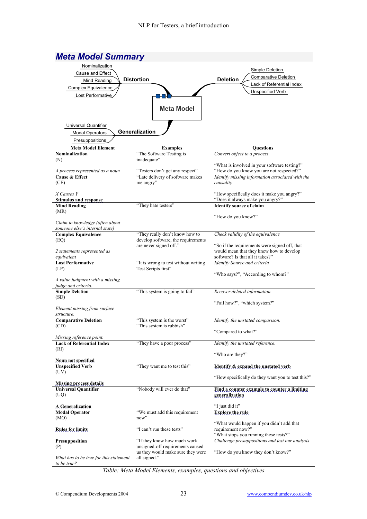

*Table: Meta Model Elements, examples, questions and objectives*